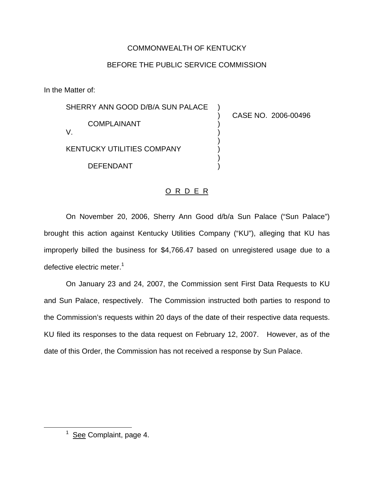## COMMONWEALTH OF KENTUCKY

## BEFORE THE PUBLIC SERVICE COMMISSION

In the Matter of:

| SHERRY ANN GOOD D/B/A SUN PALACE  |                     |
|-----------------------------------|---------------------|
| <b>COMPLAINANT</b>                | CASE NO. 2006-00496 |
| <b>KENTUCKY UTILITIES COMPANY</b> |                     |
| <b>DEFENDANT</b>                  |                     |

## O R D E R

On November 20, 2006, Sherry Ann Good d/b/a Sun Palace ("Sun Palace") brought this action against Kentucky Utilities Company ("KU"), alleging that KU has improperly billed the business for \$4,766.47 based on unregistered usage due to a defective electric meter.<sup>1</sup>

On January 23 and 24, 2007, the Commission sent First Data Requests to KU and Sun Palace, respectively. The Commission instructed both parties to respond to the Commission's requests within 20 days of the date of their respective data requests. KU filed its responses to the data request on February 12, 2007. However, as of the date of this Order, the Commission has not received a response by Sun Palace.

 $1$  See Complaint, page 4.